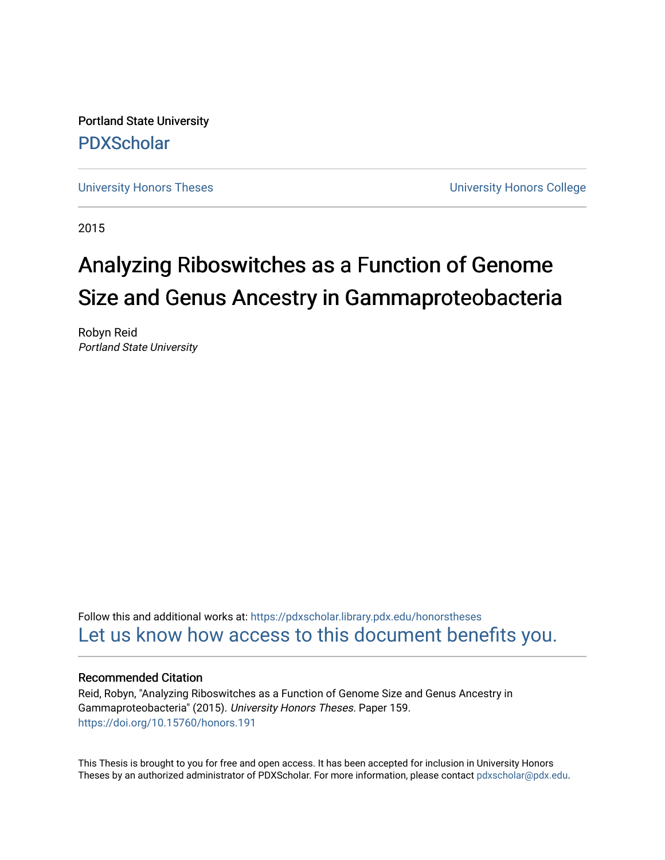Portland State University [PDXScholar](https://pdxscholar.library.pdx.edu/)

[University Honors Theses](https://pdxscholar.library.pdx.edu/honorstheses) [University Honors College](https://pdxscholar.library.pdx.edu/honors) 

2015

# Analyzing Riboswitches as a Function of Genome Size and Genus Ancestry in Gammaproteobacteria

Robyn Reid Portland State University

Follow this and additional works at: [https://pdxscholar.library.pdx.edu/honorstheses](https://pdxscholar.library.pdx.edu/honorstheses?utm_source=pdxscholar.library.pdx.edu%2Fhonorstheses%2F159&utm_medium=PDF&utm_campaign=PDFCoverPages)  [Let us know how access to this document benefits you.](http://library.pdx.edu/services/pdxscholar-services/pdxscholar-feedback/) 

#### Recommended Citation

Reid, Robyn, "Analyzing Riboswitches as a Function of Genome Size and Genus Ancestry in Gammaproteobacteria" (2015). University Honors Theses. Paper 159. <https://doi.org/10.15760/honors.191>

This Thesis is brought to you for free and open access. It has been accepted for inclusion in University Honors Theses by an authorized administrator of PDXScholar. For more information, please contact [pdxscholar@pdx.edu](mailto:pdxscholar@pdx.edu).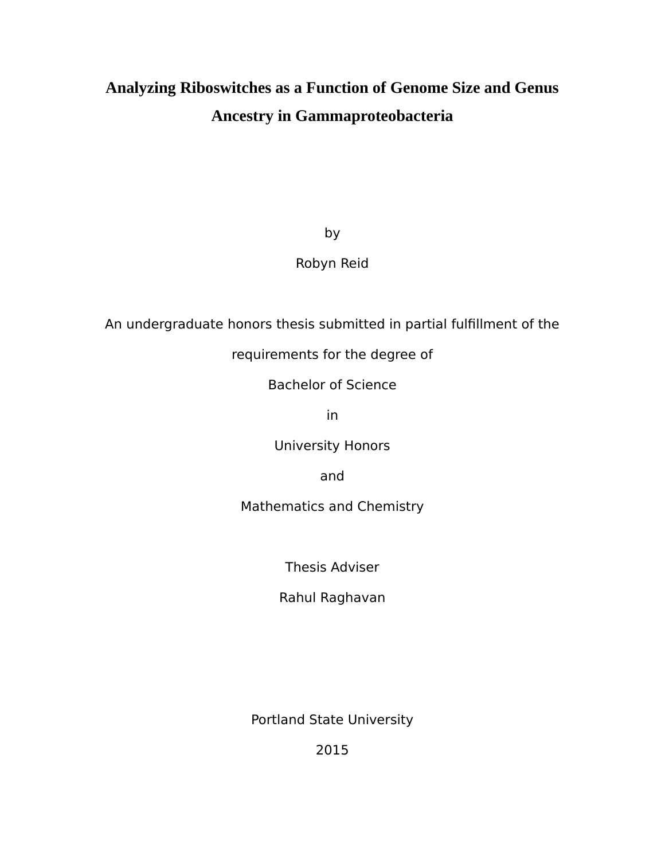## **Analyzing Riboswitches as a Function of Genome Size and Genus Ancestry in Gammaproteobacteria**

by

### Robyn Reid

An undergraduate honors thesis submitted in partial fulfillment of the

requirements for the degree of

Bachelor of Science

in

University Honors

and

Mathematics and Chemistry

Thesis Adviser

Rahul Raghavan

Portland State University

2015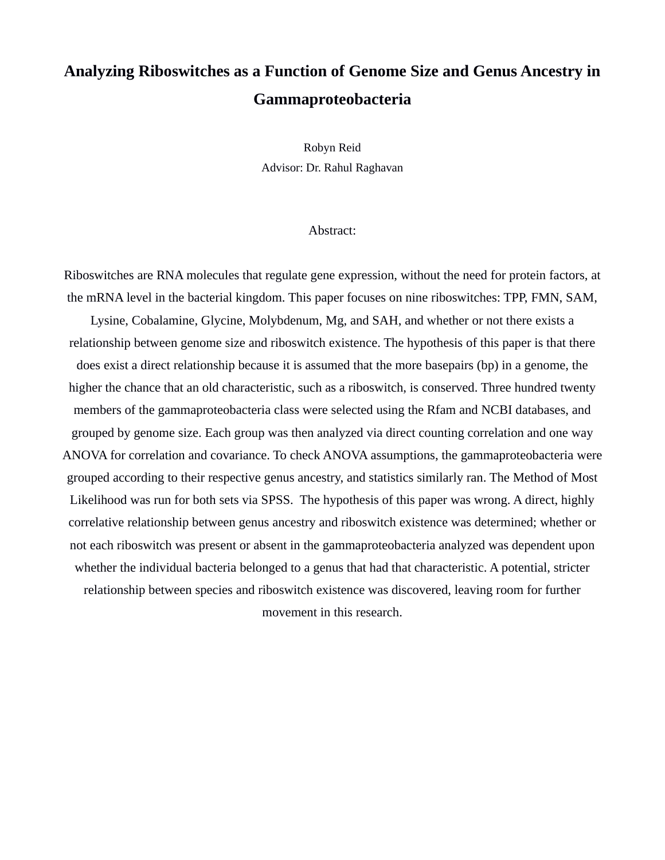## **Analyzing Riboswitches as a Function of Genome Size and Genus Ancestry in Gammaproteobacteria**

Robyn Reid Advisor: Dr. Rahul Raghavan

#### Abstract:

Riboswitches are RNA molecules that regulate gene expression, without the need for protein factors, at the mRNA level in the bacterial kingdom. This paper focuses on nine riboswitches: TPP, FMN, SAM,

Lysine, Cobalamine, Glycine, Molybdenum, Mg, and SAH, and whether or not there exists a relationship between genome size and riboswitch existence. The hypothesis of this paper is that there does exist a direct relationship because it is assumed that the more basepairs (bp) in a genome, the higher the chance that an old characteristic, such as a riboswitch, is conserved. Three hundred twenty members of the gammaproteobacteria class were selected using the Rfam and NCBI databases, and grouped by genome size. Each group was then analyzed via direct counting correlation and one way ANOVA for correlation and covariance. To check ANOVA assumptions, the gammaproteobacteria were grouped according to their respective genus ancestry, and statistics similarly ran. The Method of Most Likelihood was run for both sets via SPSS. The hypothesis of this paper was wrong. A direct, highly correlative relationship between genus ancestry and riboswitch existence was determined; whether or not each riboswitch was present or absent in the gammaproteobacteria analyzed was dependent upon whether the individual bacteria belonged to a genus that had that characteristic. A potential, stricter relationship between species and riboswitch existence was discovered, leaving room for further movement in this research.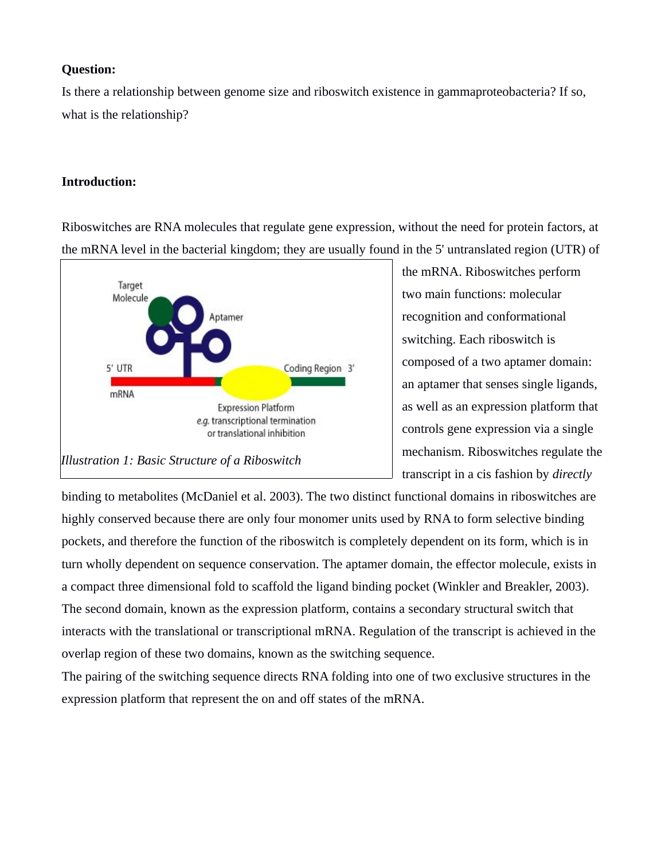#### **Question:**

Is there a relationship between genome size and riboswitch existence in gammaproteobacteria? If so, what is the relationship?

### **Introduction:**

Riboswitches are RNA molecules that regulate gene expression, without the need for protein factors, at the mRNA level in the bacterial kingdom; they are usually found in the 5' untranslated region (UTR) of



the mRNA. Riboswitches perform two main functions: molecular recognition and conformational switching. Each riboswitch is composed of a two aptamer domain: an aptamer that senses single ligands, as well as an expression platform that controls gene expression via a single mechanism. Riboswitches regulate the transcript in a cis fashion by *directly*

binding to metabolites (McDaniel et al. 2003). The two distinct functional domains in riboswitches are highly conserved because there are only four monomer units used by RNA to form selective binding pockets, and therefore the function of the riboswitch is completely dependent on its form, which is in turn wholly dependent on sequence conservation. The aptamer domain, the effector molecule, exists in a compact three dimensional fold to scaffold the ligand binding pocket (Winkler and Breakler, 2003). The second domain, known as the expression platform, contains a secondary structural switch that interacts with the translational or transcriptional mRNA. Regulation of the transcript is achieved in the overlap region of these two domains, known as the switching sequence.

The pairing of the switching sequence directs RNA folding into one of two exclusive structures in the expression platform that represent the on and off states of the mRNA.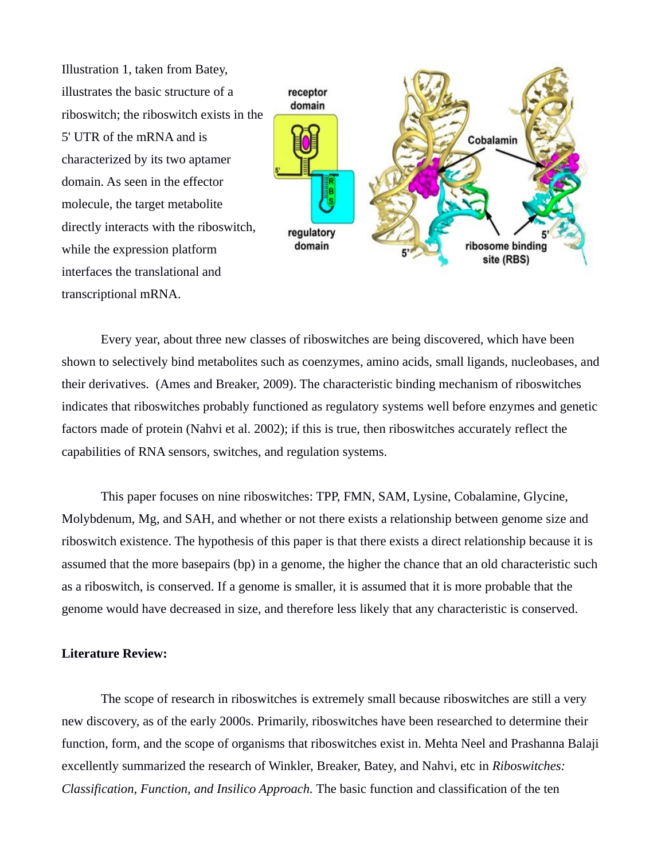Illustration 1, taken from Batey, illustrates the basic structure of a riboswitch; the riboswitch exists in the 5' UTR of the mRNA and is characterized by its two aptamer domain. As seen in the effector molecule, the target metabolite directly interacts with the riboswitch, while the expression platform interfaces the translational and transcriptional mRNA.



Every year, about three new classes of riboswitches are being discovered, which have been shown to selectively bind metabolites such as coenzymes, amino acids, small ligands, nucleobases, and their derivatives. (Ames and Breaker, 2009). The characteristic binding mechanism of riboswitches indicates that riboswitches probably functioned as regulatory systems well before enzymes and genetic factors made of protein (Nahvi et al. 2002); if this is true, then riboswitches accurately reflect the capabilities of RNA sensors, switches, and regulation systems.

This paper focuses on nine riboswitches: TPP, FMN, SAM, Lysine, Cobalamine, Glycine, Molybdenum, Mg, and SAH, and whether or not there exists a relationship between genome size and riboswitch existence. The hypothesis of this paper is that there exists a direct relationship because it is assumed that the more basepairs (bp) in a genome, the higher the chance that an old characteristic such as a riboswitch, is conserved. If a genome is smaller, it is assumed that it is more probable that the genome would have decreased in size, and therefore less likely that any characteristic is conserved.

#### **Literature Review:**

The scope of research in riboswitches is extremely small because riboswitches are still a very new discovery, as of the early 2000s. Primarily, riboswitches have been researched to determine their function, form, and the scope of organisms that riboswitches exist in. Mehta Neel and Prashanna Balaji excellently summarized the research of Winkler, Breaker, Batey, and Nahvi, etc in *Riboswitches: Classification, Function, and Insilico Approach.* The basic function and classification of the ten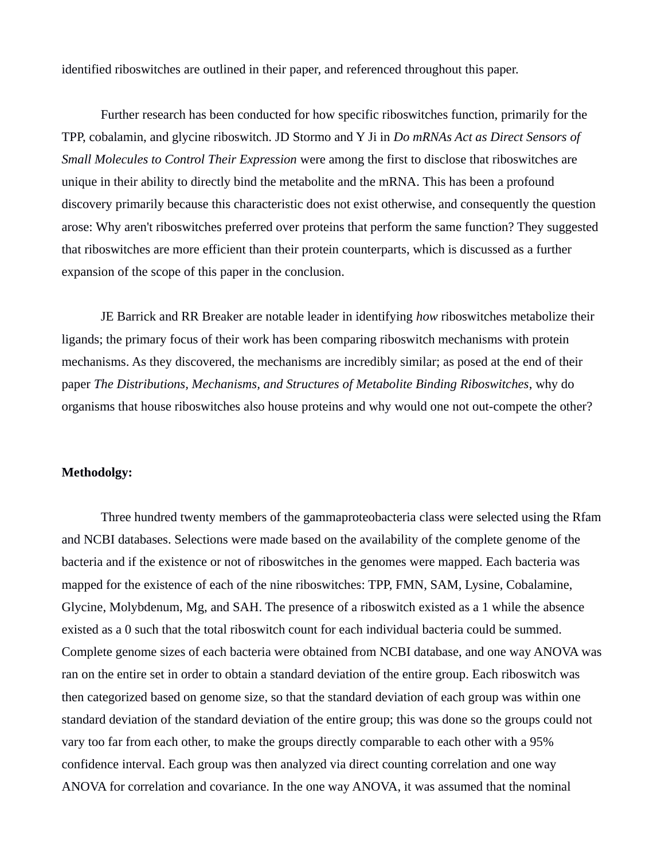identified riboswitches are outlined in their paper, and referenced throughout this paper.

Further research has been conducted for how specific riboswitches function, primarily for the TPP, cobalamin, and glycine riboswitch. JD Stormo and Y Ji in *Do mRNAs Act as Direct Sensors of Small Molecules to Control Their Expression* were among the first to disclose that riboswitches are unique in their ability to directly bind the metabolite and the mRNA. This has been a profound discovery primarily because this characteristic does not exist otherwise, and consequently the question arose: Why aren't riboswitches preferred over proteins that perform the same function? They suggested that riboswitches are more efficient than their protein counterparts, which is discussed as a further expansion of the scope of this paper in the conclusion.

JE Barrick and RR Breaker are notable leader in identifying *how* riboswitches metabolize their ligands; the primary focus of their work has been comparing riboswitch mechanisms with protein mechanisms. As they discovered, the mechanisms are incredibly similar; as posed at the end of their paper *The Distributions, Mechanisms, and Structures of Metabolite Binding Riboswitches*, why do organisms that house riboswitches also house proteins and why would one not out-compete the other?

#### **Methodolgy:**

Three hundred twenty members of the gammaproteobacteria class were selected using the Rfam and NCBI databases. Selections were made based on the availability of the complete genome of the bacteria and if the existence or not of riboswitches in the genomes were mapped. Each bacteria was mapped for the existence of each of the nine riboswitches: TPP, FMN, SAM, Lysine, Cobalamine, Glycine, Molybdenum, Mg, and SAH. The presence of a riboswitch existed as a 1 while the absence existed as a 0 such that the total riboswitch count for each individual bacteria could be summed. Complete genome sizes of each bacteria were obtained from NCBI database, and one way ANOVA was ran on the entire set in order to obtain a standard deviation of the entire group. Each riboswitch was then categorized based on genome size, so that the standard deviation of each group was within one standard deviation of the standard deviation of the entire group; this was done so the groups could not vary too far from each other, to make the groups directly comparable to each other with a 95% confidence interval. Each group was then analyzed via direct counting correlation and one way ANOVA for correlation and covariance. In the one way ANOVA, it was assumed that the nominal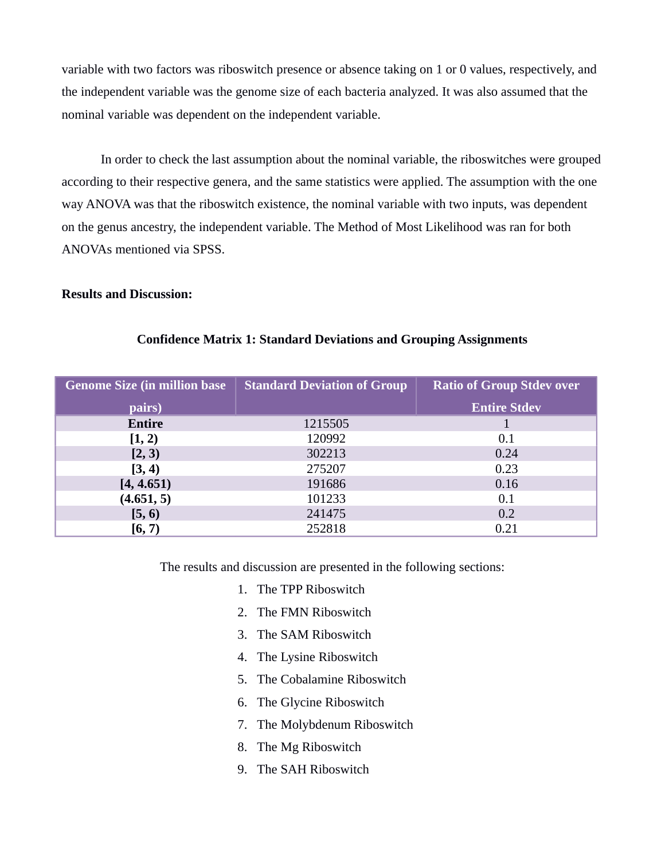variable with two factors was riboswitch presence or absence taking on 1 or 0 values, respectively, and the independent variable was the genome size of each bacteria analyzed. It was also assumed that the nominal variable was dependent on the independent variable.

In order to check the last assumption about the nominal variable, the riboswitches were grouped according to their respective genera, and the same statistics were applied. The assumption with the one way ANOVA was that the riboswitch existence, the nominal variable with two inputs, was dependent on the genus ancestry, the independent variable. The Method of Most Likelihood was ran for both ANOVAs mentioned via SPSS.

#### **Results and Discussion:**

| <b>Genome Size (in million base)</b> | <b>Standard Deviation of Group</b> | <b>Ratio of Group Stdev over</b> |
|--------------------------------------|------------------------------------|----------------------------------|
| pairs)                               |                                    | <b>Entire Stdev</b>              |
| <b>Entire</b>                        | 1215505                            |                                  |
| [1, 2)                               | 120992                             | 0.1                              |
| [2, 3)                               | 302213                             | 0.24                             |
| [3, 4)                               | 275207                             | 0.23                             |
| [4, 4.651]                           | 191686                             | 0.16                             |
| (4.651, 5)                           | 101233                             | 0.1                              |
| [5, 6)                               | 241475                             | 0.2                              |
| [6, 7)                               | 252818                             | 0.21                             |

### **Confidence Matrix 1: Standard Deviations and Grouping Assignments**

The results and discussion are presented in the following sections:

- 1. The TPP Riboswitch
- 2. The FMN Riboswitch
- 3. The SAM Riboswitch
- 4. The Lysine Riboswitch
- 5. The Cobalamine Riboswitch
- 6. The Glycine Riboswitch
- 7. The Molybdenum Riboswitch
- 8. The Mg Riboswitch
- 9. The SAH Riboswitch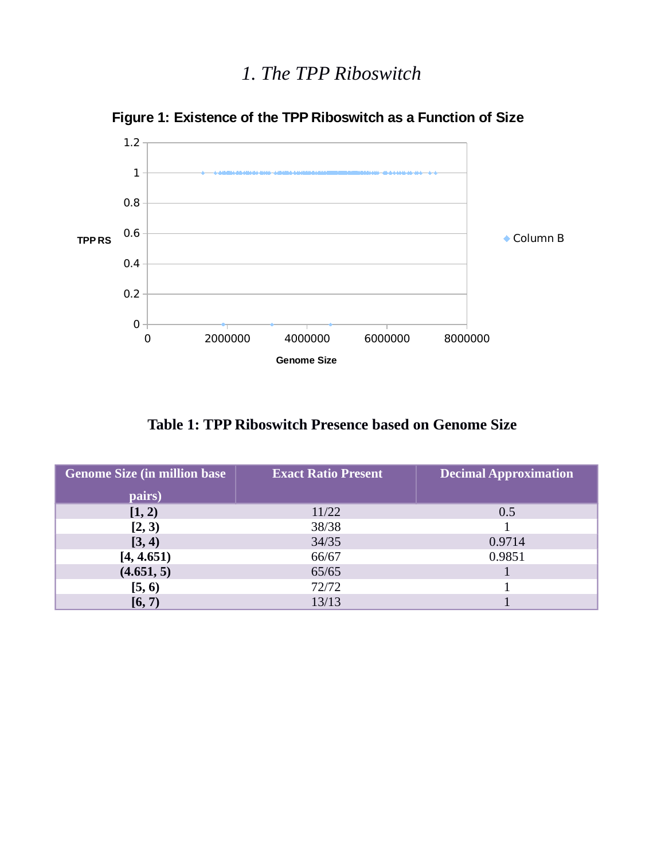

**Figure 1: Existence of the TPP Riboswitch as a Function of Size**

**Table 1: TPP Riboswitch Presence based on Genome Size**

| <b>Genome Size (in million base)</b> | <b>Exact Ratio Present</b> | <b>Decimal Approximation</b> |
|--------------------------------------|----------------------------|------------------------------|
| pairs)                               |                            |                              |
| [1, 2)                               | 11/22                      | 0.5                          |
| [2, 3)                               | 38/38                      |                              |
| [3, 4)                               | 34/35                      | 0.9714                       |
| [4, 4.651)                           | 66/67                      | 0.9851                       |
| (4.651, 5)                           | 65/65                      |                              |
| [5, 6)                               | 72/72                      |                              |
| [6, 7)                               | 13/13                      |                              |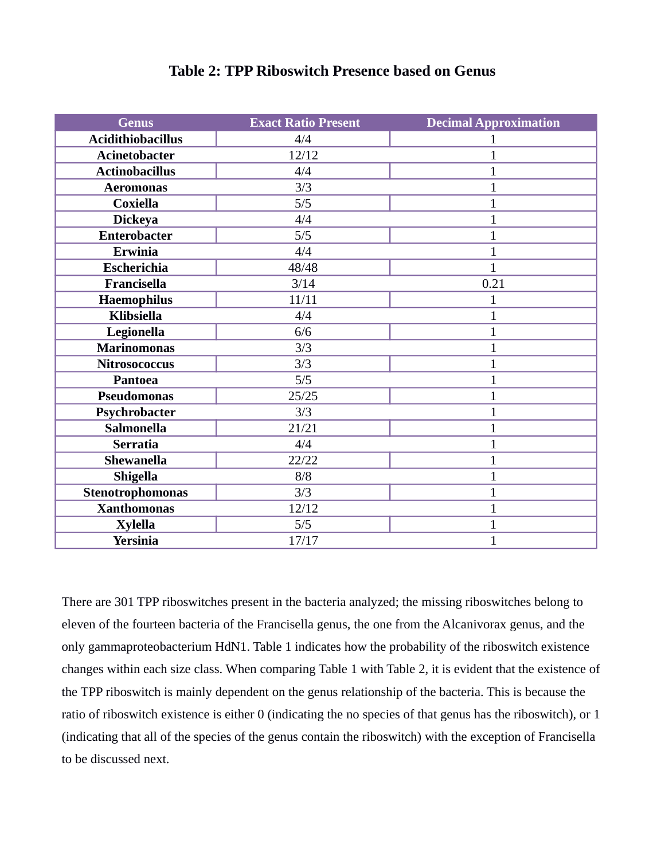| <b>Genus</b>             | <b>Exact Ratio Present</b> | <b>Decimal Approximation</b> |
|--------------------------|----------------------------|------------------------------|
| <b>Acidithiobacillus</b> | 4/4                        | 1                            |
| <b>Acinetobacter</b>     | 12/12                      | $\overline{1}$               |
| <b>Actinobacillus</b>    | 4/4                        | $\mathbf{1}$                 |
| <b>Aeromonas</b>         | 3/3                        | $\mathbf{1}$                 |
| <b>Coxiella</b>          | 5/5                        | $\mathbf{1}$                 |
| <b>Dickeya</b>           | 4/4                        | $\overline{1}$               |
| <b>Enterobacter</b>      | 5/5                        | $\overline{1}$               |
| <b>Erwinia</b>           | 4/4                        | $\mathbf{1}$                 |
| <b>Escherichia</b>       | 48/48                      | $\overline{1}$               |
| Francisella              | 3/14                       | 0.21                         |
| <b>Haemophilus</b>       | 11/11                      | $\overline{1}$               |
| <b>Klibsiella</b>        | 4/4                        | $\mathbf{1}$                 |
| Legionella               | 6/6                        | $\mathbf{1}$                 |
| <b>Marinomonas</b>       | 3/3                        | $\overline{1}$               |
| <b>Nitrosococcus</b>     | 3/3                        | $\mathbf{1}$                 |
| <b>Pantoea</b>           | 5/5                        | $\overline{1}$               |
| <b>Pseudomonas</b>       | 25/25                      | $\overline{1}$               |
| Psychrobacter            | 3/3                        | $\mathbf{1}$                 |
| <b>Salmonella</b>        | 21/21                      | $\overline{1}$               |
| <b>Serratia</b>          | 4/4                        | $\mathbf{1}$                 |
| <b>Shewanella</b>        | 22/22                      | $\mathbf{1}$                 |
| <b>Shigella</b>          | 8/8                        | $\mathbf{1}$                 |
| Stenotrophomonas         | 3/3                        | $\mathbf{1}$                 |
| <b>Xanthomonas</b>       | 12/12                      | $\mathbf{1}$                 |
| <b>Xylella</b>           | 5/5                        | $\overline{1}$               |
| <b>Yersinia</b>          | 17/17                      | $\mathbf{1}$                 |

There are 301 TPP riboswitches present in the bacteria analyzed; the missing riboswitches belong to eleven of the fourteen bacteria of the Francisella genus, the one from the Alcanivorax genus, and the only gammaproteobacterium HdN1. Table 1 indicates how the probability of the riboswitch existence changes within each size class. When comparing Table 1 with Table 2, it is evident that the existence of the TPP riboswitch is mainly dependent on the genus relationship of the bacteria. This is because the ratio of riboswitch existence is either 0 (indicating the no species of that genus has the riboswitch), or 1 (indicating that all of the species of the genus contain the riboswitch) with the exception of Francisella to be discussed next.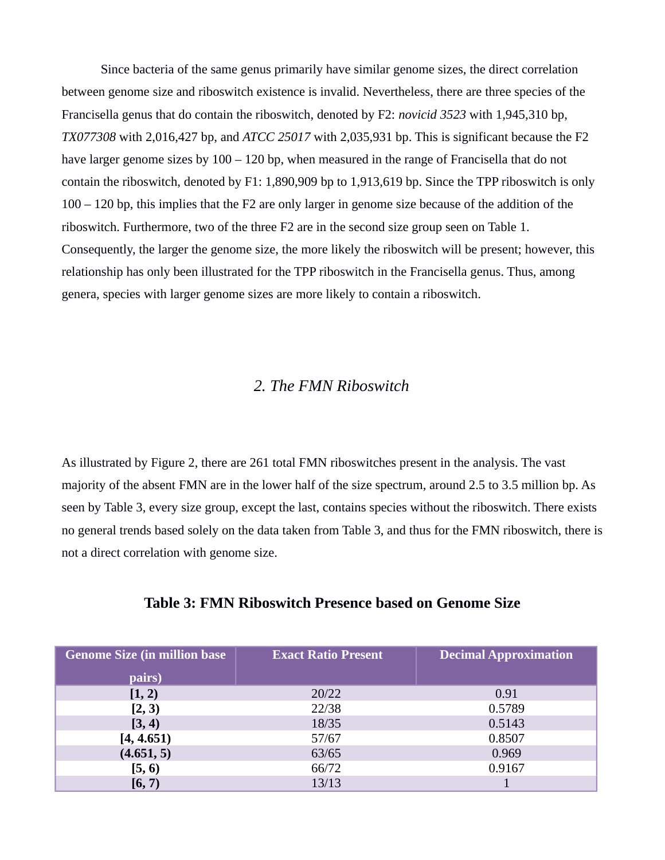Since bacteria of the same genus primarily have similar genome sizes, the direct correlation between genome size and riboswitch existence is invalid. Nevertheless, there are three species of the Francisella genus that do contain the riboswitch, denoted by F2: *novicid 3523* with 1,945,310 bp, *TX077308* with 2,016,427 bp, and *ATCC 25017* with 2,035,931 bp. This is significant because the F2 have larger genome sizes by 100 – 120 bp, when measured in the range of Francisella that do not contain the riboswitch, denoted by F1: 1,890,909 bp to 1,913,619 bp. Since the TPP riboswitch is only 100 – 120 bp, this implies that the F2 are only larger in genome size because of the addition of the riboswitch. Furthermore, two of the three F2 are in the second size group seen on Table 1. Consequently, the larger the genome size, the more likely the riboswitch will be present; however, this relationship has only been illustrated for the TPP riboswitch in the Francisella genus. Thus, among genera, species with larger genome sizes are more likely to contain a riboswitch.

### *2. The FMN Riboswitch*

As illustrated by Figure 2, there are 261 total FMN riboswitches present in the analysis. The vast majority of the absent FMN are in the lower half of the size spectrum, around 2.5 to 3.5 million bp. As seen by Table 3, every size group, except the last, contains species without the riboswitch. There exists no general trends based solely on the data taken from Table 3, and thus for the FMN riboswitch, there is not a direct correlation with genome size.

| <b>Genome Size (in million base)</b> | <b>Exact Ratio Present</b> | <b>Decimal Approximation</b> |
|--------------------------------------|----------------------------|------------------------------|
| pairs)                               |                            |                              |
| [1, 2)                               | 20/22                      | 0.91                         |
| [2, 3)                               | 22/38                      | 0.5789                       |
| [3, 4)                               | 18/35                      | 0.5143                       |
| [4, 4.651)                           | 57/67                      | 0.8507                       |
| (4.651, 5)                           | 63/65                      | 0.969                        |
| [5, 6)                               | 66/72                      | 0.9167                       |
| [6, 7)                               | 13/13                      |                              |

#### **Table 3: FMN Riboswitch Presence based on Genome Size**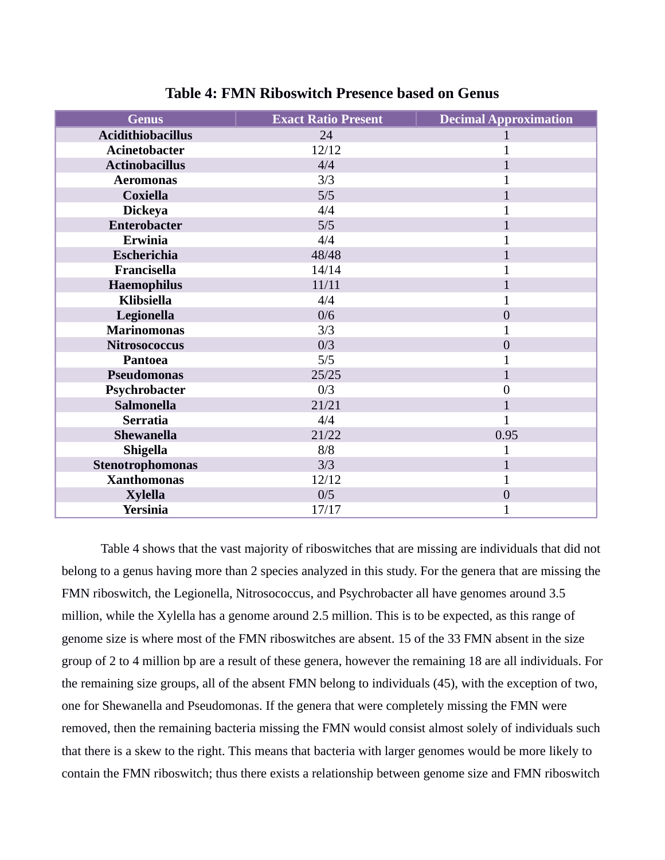| <b>Genus</b>             | <b>Exact Ratio Present</b> | <b>Decimal Approximation</b> |
|--------------------------|----------------------------|------------------------------|
| <b>Acidithiobacillus</b> | 24                         |                              |
| <b>Acinetobacter</b>     | 12/12                      | $\overline{1}$               |
| <b>Actinobacillus</b>    | 4/4                        | $\mathbf{1}$                 |
| <b>Aeromonas</b>         | 3/3                        | 1                            |
| <b>Coxiella</b>          | 5/5                        | $\mathbf{1}$                 |
| <b>Dickeya</b>           | 4/4                        | $\overline{1}$               |
| <b>Enterobacter</b>      | 5/5                        | 1                            |
| <b>Erwinia</b>           | 4/4                        | $\overline{1}$               |
| Escherichia              | 48/48                      | $\mathbf{1}$                 |
| Francisella              | 14/14                      | 1                            |
| <b>Haemophilus</b>       | 11/11                      | 1                            |
| <b>Klibsiella</b>        | 4/4                        |                              |
| Legionella               | 0/6                        | $\overline{0}$               |
| <b>Marinomonas</b>       | 3/3                        | 1                            |
| <b>Nitrosococcus</b>     | 0/3                        | $\overline{0}$               |
| Pantoea                  | 5/5                        | $\overline{1}$               |
| <b>Pseudomonas</b>       | 25/25                      | $\mathbf{1}$                 |
| Psychrobacter            | 0/3                        | 0                            |
| <b>Salmonella</b>        | 21/21                      | $\overline{1}$               |
| <b>Serratia</b>          | 4/4                        | $\overline{1}$               |
| Shewanella               | 21/22                      | 0.95                         |
| <b>Shigella</b>          | 8/8                        | $\overline{1}$               |
| Stenotrophomonas         | 3/3                        | $\overline{1}$               |
| <b>Xanthomonas</b>       | 12/12                      | $\mathbf{1}$                 |
| <b>Xylella</b>           | 0/5                        | $\boldsymbol{0}$             |
| <b>Yersinia</b>          | 17/17                      | $\mathbf{1}$                 |

**Table 4: FMN Riboswitch Presence based on Genus**

Table 4 shows that the vast majority of riboswitches that are missing are individuals that did not belong to a genus having more than 2 species analyzed in this study. For the genera that are missing the FMN riboswitch, the Legionella, Nitrosococcus, and Psychrobacter all have genomes around 3.5 million, while the Xylella has a genome around 2.5 million. This is to be expected, as this range of genome size is where most of the FMN riboswitches are absent. 15 of the 33 FMN absent in the size group of 2 to 4 million bp are a result of these genera, however the remaining 18 are all individuals. For the remaining size groups, all of the absent FMN belong to individuals (45), with the exception of two, one for Shewanella and Pseudomonas. If the genera that were completely missing the FMN were removed, then the remaining bacteria missing the FMN would consist almost solely of individuals such that there is a skew to the right. This means that bacteria with larger genomes would be more likely to contain the FMN riboswitch; thus there exists a relationship between genome size and FMN riboswitch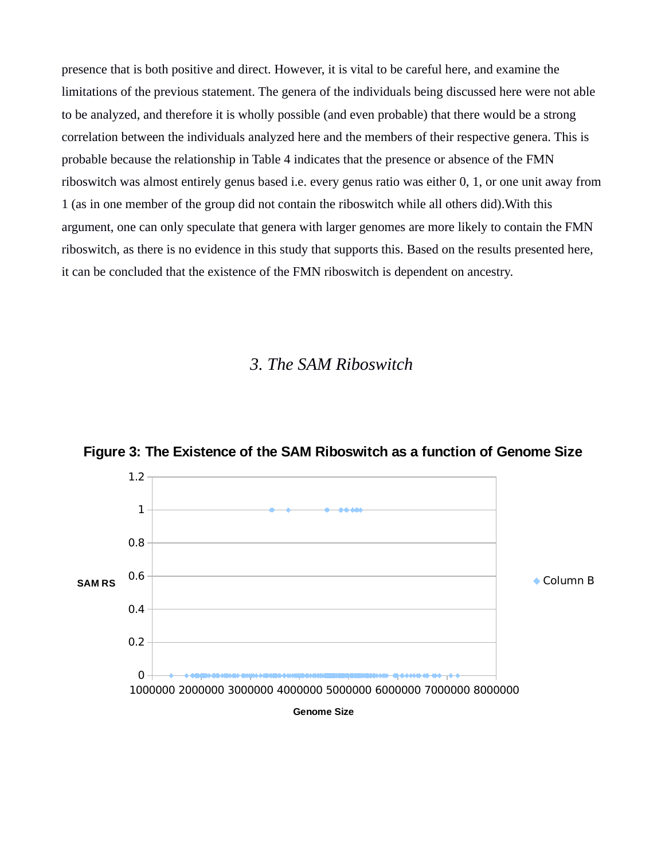presence that is both positive and direct. However, it is vital to be careful here, and examine the limitations of the previous statement. The genera of the individuals being discussed here were not able to be analyzed, and therefore it is wholly possible (and even probable) that there would be a strong correlation between the individuals analyzed here and the members of their respective genera. This is probable because the relationship in Table 4 indicates that the presence or absence of the FMN riboswitch was almost entirely genus based i.e. every genus ratio was either 0, 1, or one unit away from 1 (as in one member of the group did not contain the riboswitch while all others did).With this argument, one can only speculate that genera with larger genomes are more likely to contain the FMN riboswitch, as there is no evidence in this study that supports this. Based on the results presented here, it can be concluded that the existence of the FMN riboswitch is dependent on ancestry.

### *3. The SAM Riboswitch*



**Figure 3: The Existence of the SAM Riboswitch as a function of Genome Size**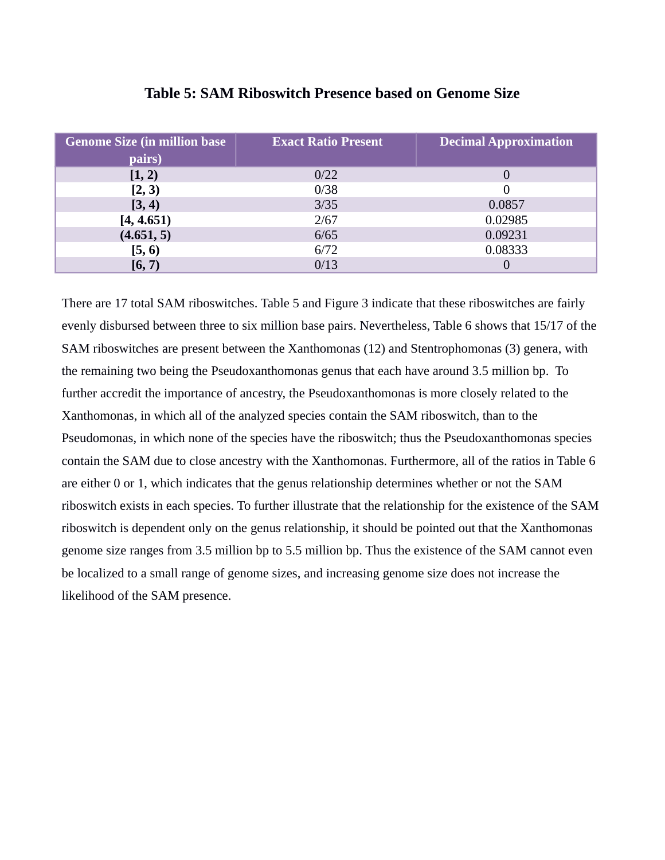| <b>Genome Size (in million base)</b> | <b>Exact Ratio Present</b> | <b>Decimal Approximation</b> |
|--------------------------------------|----------------------------|------------------------------|
| pairs)                               |                            |                              |
| [1, 2)                               | 0/22                       |                              |
| [2, 3)                               | 0/38                       |                              |
| [3, 4)                               | 3/35                       | 0.0857                       |
| [4, 4.651]                           | 2/67                       | 0.02985                      |
| (4.651, 5)                           | 6/65                       | 0.09231                      |
| [5, 6)                               | 6/72                       | 0.08333                      |
| [6, 7)                               | 0/13                       |                              |

### **Table 5: SAM Riboswitch Presence based on Genome Size**

There are 17 total SAM riboswitches. Table 5 and Figure 3 indicate that these riboswitches are fairly evenly disbursed between three to six million base pairs. Nevertheless, Table 6 shows that 15/17 of the SAM riboswitches are present between the Xanthomonas (12) and Stentrophomonas (3) genera, with the remaining two being the Pseudoxanthomonas genus that each have around 3.5 million bp. To further accredit the importance of ancestry, the Pseudoxanthomonas is more closely related to the Xanthomonas, in which all of the analyzed species contain the SAM riboswitch, than to the Pseudomonas, in which none of the species have the riboswitch; thus the Pseudoxanthomonas species contain the SAM due to close ancestry with the Xanthomonas. Furthermore, all of the ratios in Table 6 are either 0 or 1, which indicates that the genus relationship determines whether or not the SAM riboswitch exists in each species. To further illustrate that the relationship for the existence of the SAM riboswitch is dependent only on the genus relationship, it should be pointed out that the Xanthomonas genome size ranges from 3.5 million bp to 5.5 million bp. Thus the existence of the SAM cannot even be localized to a small range of genome sizes, and increasing genome size does not increase the likelihood of the SAM presence.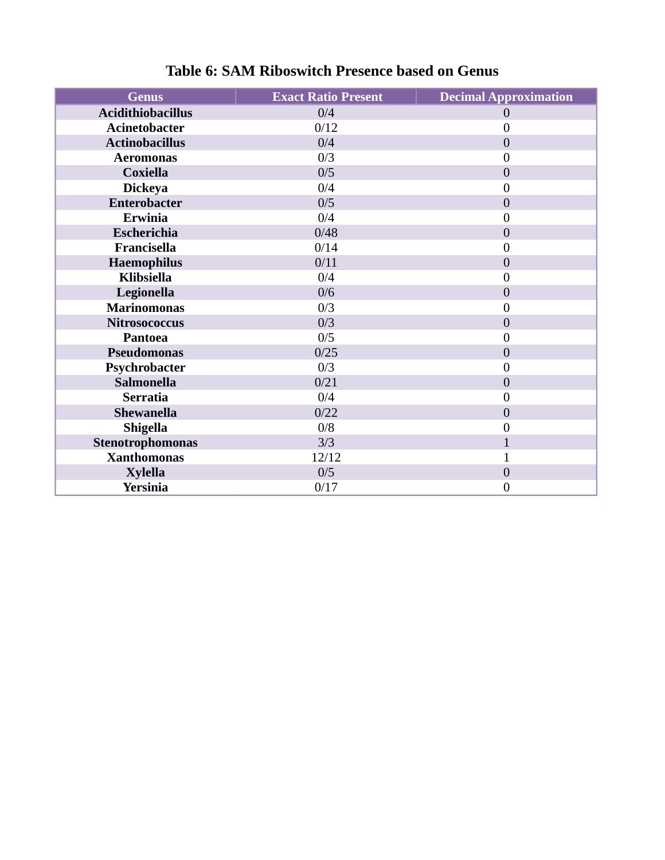| <b>Genus</b>             | <b>Exact Ratio Present</b> | <b>Decimal Approximation</b> |
|--------------------------|----------------------------|------------------------------|
| <b>Acidithiobacillus</b> | 0/4                        | $\overline{0}$               |
| <b>Acinetobacter</b>     | 0/12                       | 0                            |
| <b>Actinobacillus</b>    | 0/4                        | $\overline{0}$               |
| <b>Aeromonas</b>         | 0/3                        | $\overline{0}$               |
| <b>Coxiella</b>          | 0/5                        | $\overline{0}$               |
| <b>Dickeya</b>           | 0/4                        | 0                            |
| Enterobacter             | 0/5                        | $\overline{0}$               |
| Erwinia                  | 0/4                        | $\overline{0}$               |
| Escherichia              | 0/48                       | $\overline{0}$               |
| Francisella              | 0/14                       | 0                            |
| <b>Haemophilus</b>       | 0/11                       | $\overline{0}$               |
| <b>Klibsiella</b>        | 0/4                        | $\overline{0}$               |
| Legionella               | 0/6                        | $\overline{0}$               |
| <b>Marinomonas</b>       | 0/3                        | 0                            |
| <b>Nitrosococcus</b>     | 0/3                        | $\overline{0}$               |
| Pantoea                  | 0/5                        | $\overline{0}$               |
| <b>Pseudomonas</b>       | 0/25                       | $\mathbf{0}$                 |
| Psychrobacter            | 0/3                        | 0                            |
| <b>Salmonella</b>        | 0/21                       | $\overline{0}$               |
| <b>Serratia</b>          | 0/4                        | $\overline{0}$               |
| Shewanella               | 0/22                       | $\overline{0}$               |
| <b>Shigella</b>          | 0/8                        | 0                            |
| Stenotrophomonas         | 3/3                        |                              |
| <b>Xanthomonas</b>       | 12/12                      | $\overline{1}$               |
| <b>Xylella</b>           | 0/5                        | $\overline{0}$               |
| <b>Yersinia</b>          | 0/17                       | $\boldsymbol{0}$             |

### **Table 6: SAM Riboswitch Presence based on Genus**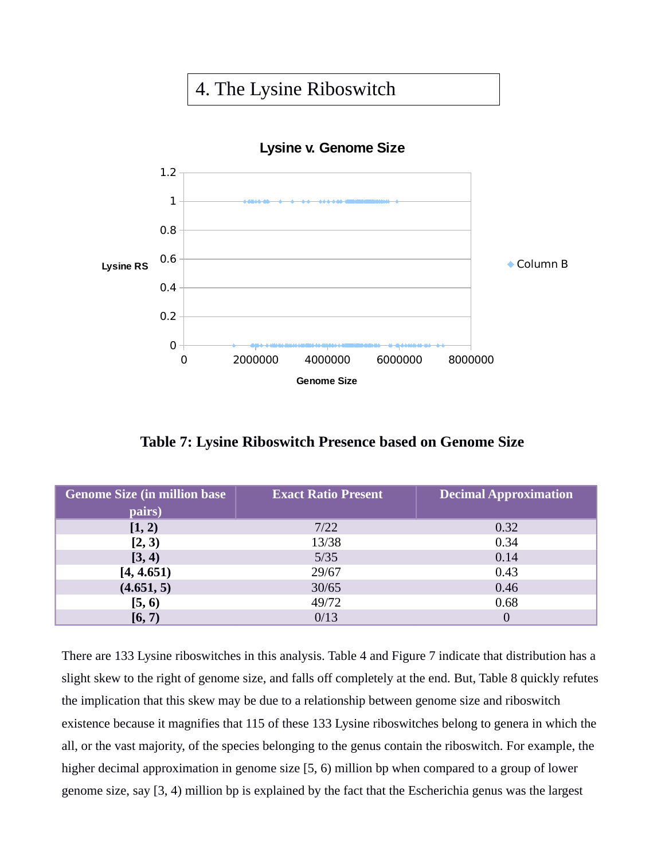## 4. The Lysine Riboswitch



**Table 7: Lysine Riboswitch Presence based on Genome Size**

| <b>Genome Size (in million base)</b> | <b>Exact Ratio Present</b> | <b>Decimal Approximation</b> |
|--------------------------------------|----------------------------|------------------------------|
| pairs)                               |                            |                              |
| [1, 2)                               | 7/22                       | 0.32                         |
| [2, 3)                               | 13/38                      | 0.34                         |
| [3, 4)                               | 5/35                       | 0.14                         |
| [4, 4.651]                           | 29/67                      | 0.43                         |
| (4.651, 5)                           | 30/65                      | 0.46                         |
| [5, 6)                               | 49/72                      | 0.68                         |
| [6, 7)                               | 0/13                       |                              |

There are 133 Lysine riboswitches in this analysis. Table 4 and Figure 7 indicate that distribution has a slight skew to the right of genome size, and falls off completely at the end. But, Table 8 quickly refutes the implication that this skew may be due to a relationship between genome size and riboswitch existence because it magnifies that 115 of these 133 Lysine riboswitches belong to genera in which the all, or the vast majority, of the species belonging to the genus contain the riboswitch. For example, the higher decimal approximation in genome size [5, 6) million bp when compared to a group of lower genome size, say [3, 4) million bp is explained by the fact that the Escherichia genus was the largest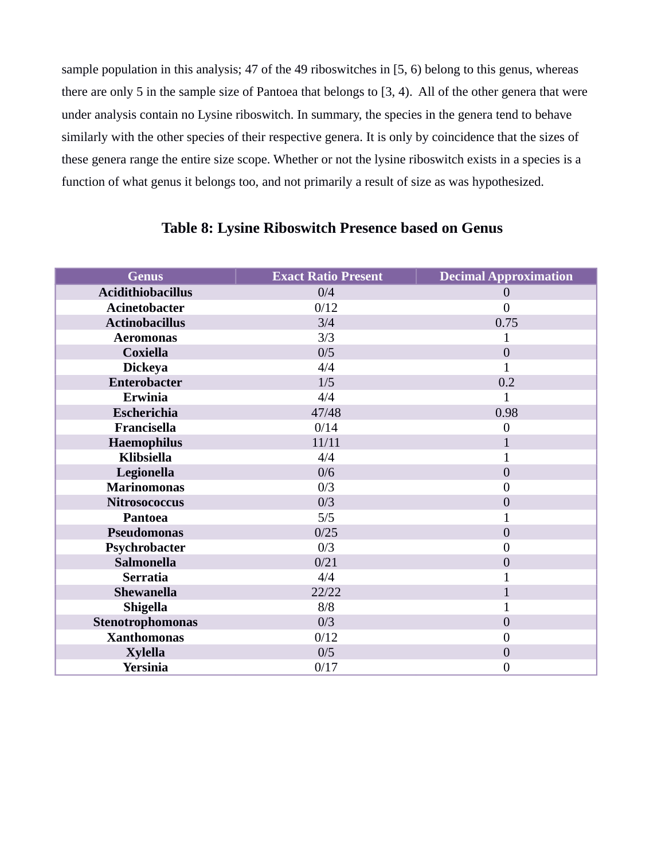sample population in this analysis; 47 of the 49 riboswitches in [5, 6) belong to this genus, whereas there are only 5 in the sample size of Pantoea that belongs to [3, 4). All of the other genera that were under analysis contain no Lysine riboswitch. In summary, the species in the genera tend to behave similarly with the other species of their respective genera. It is only by coincidence that the sizes of these genera range the entire size scope. Whether or not the lysine riboswitch exists in a species is a function of what genus it belongs too, and not primarily a result of size as was hypothesized.

| <b>Genus</b>             | <b>Exact Ratio Present</b> | <b>Decimal Approximation</b> |
|--------------------------|----------------------------|------------------------------|
| <b>Acidithiobacillus</b> | 0/4                        | 0                            |
| <b>Acinetobacter</b>     | 0/12                       | $\overline{0}$               |
| <b>Actinobacillus</b>    | 3/4                        | 0.75                         |
| <b>Aeromonas</b>         | 3/3                        | 1                            |
| <b>Coxiella</b>          | 0/5                        | $\overline{0}$               |
| <b>Dickeya</b>           | 4/4                        | $\overline{1}$               |
| <b>Enterobacter</b>      | 1/5                        | 0.2                          |
| <b>Erwinia</b>           | 4/4                        | $\mathbf{1}$                 |
| <b>Escherichia</b>       | 47/48                      | 0.98                         |
| Francisella              | 0/14                       | $\boldsymbol{0}$             |
| Haemophilus              | 11/11                      | $\mathbf{1}$                 |
| <b>Klibsiella</b>        | 4/4                        | $\mathbf 1$                  |
| Legionella               | 0/6                        | $\overline{0}$               |
| <b>Marinomonas</b>       | 0/3                        | $\overline{0}$               |
| <b>Nitrosococcus</b>     | 0/3                        | $\overline{0}$               |
| Pantoea                  | 5/5                        | $\overline{1}$               |
| <b>Pseudomonas</b>       | 0/25                       | $\overline{0}$               |
| Psychrobacter            | 0/3                        | $\mathbf{0}$                 |
| <b>Salmonella</b>        | 0/21                       | $\overline{0}$               |
| <b>Serratia</b>          | 4/4                        |                              |
| Shewanella               | 22/22                      | $\overline{1}$               |
| <b>Shigella</b>          | 8/8                        | $\overline{1}$               |
| Stenotrophomonas         | 0/3                        | $\overline{0}$               |
| <b>Xanthomonas</b>       | 0/12                       | 0                            |
| <b>Xylella</b>           | 0/5                        | $\overline{0}$               |
| <b>Yersinia</b>          | 0/17                       | $\boldsymbol{0}$             |

### **Table 8: Lysine Riboswitch Presence based on Genus**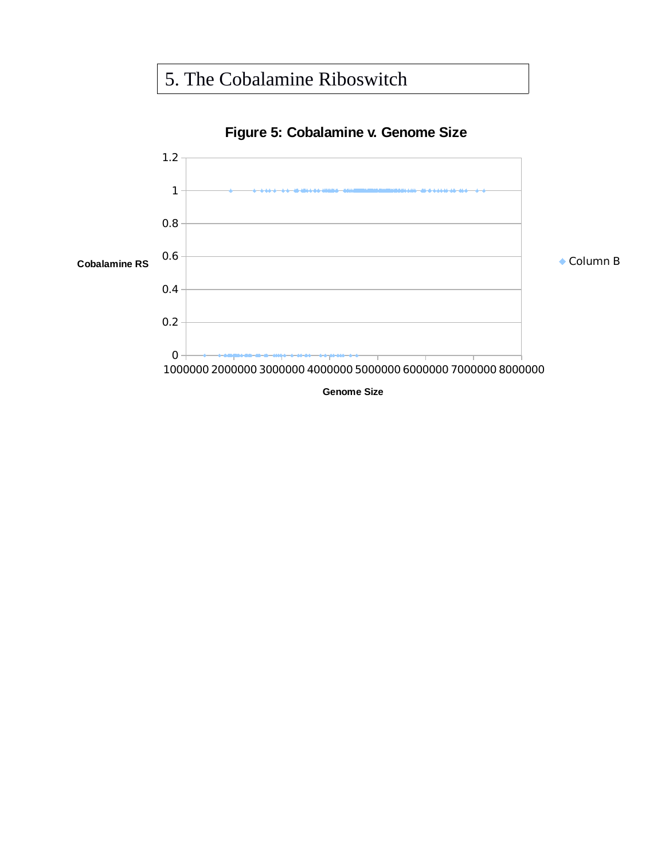## 5. The Cobalamine Riboswitch

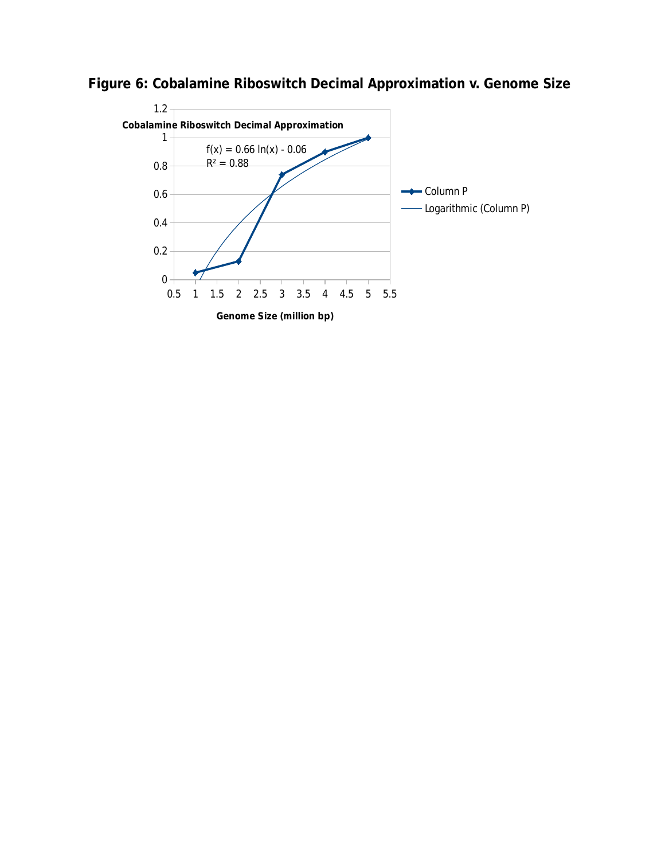

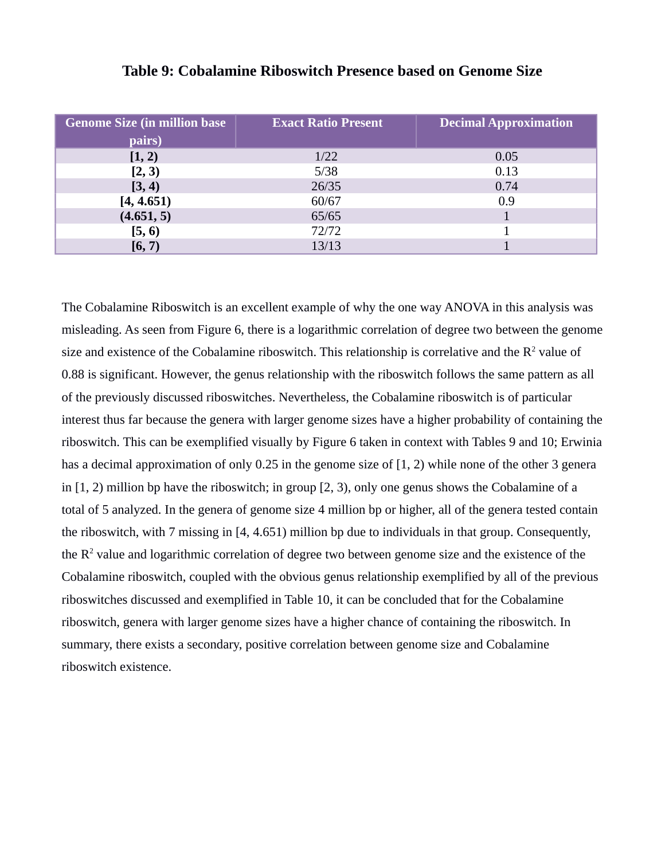| <b>Genome Size (in million base)</b><br>pairs) | <b>Exact Ratio Present</b> | <b>Decimal Approximation</b> |
|------------------------------------------------|----------------------------|------------------------------|
|                                                |                            |                              |
| [1, 2)                                         | 1/22                       | 0.05                         |
| [2, 3)                                         | 5/38                       | 0.13                         |
| [3, 4)                                         | 26/35                      | 0.74                         |
| [4, 4.651]                                     | 60/67                      | 0.9                          |
| (4.651, 5)                                     | 65/65                      |                              |
| [5, 6)                                         | 72/72                      |                              |
| [6, 7)                                         | 13/13                      |                              |

### **Table 9: Cobalamine Riboswitch Presence based on Genome Size**

The Cobalamine Riboswitch is an excellent example of why the one way ANOVA in this analysis was misleading. As seen from Figure 6, there is a logarithmic correlation of degree two between the genome size and existence of the Cobalamine riboswitch. This relationship is correlative and the  $R^2$  value of 0.88 is significant. However, the genus relationship with the riboswitch follows the same pattern as all of the previously discussed riboswitches. Nevertheless, the Cobalamine riboswitch is of particular interest thus far because the genera with larger genome sizes have a higher probability of containing the riboswitch. This can be exemplified visually by Figure 6 taken in context with Tables 9 and 10; Erwinia has a decimal approximation of only 0.25 in the genome size of [1, 2) while none of the other 3 genera in [1, 2) million bp have the riboswitch; in group [2, 3), only one genus shows the Cobalamine of a total of 5 analyzed. In the genera of genome size 4 million bp or higher, all of the genera tested contain the riboswitch, with 7 missing in [4, 4.651) million bp due to individuals in that group. Consequently, the  $R<sup>2</sup>$  value and logarithmic correlation of degree two between genome size and the existence of the Cobalamine riboswitch, coupled with the obvious genus relationship exemplified by all of the previous riboswitches discussed and exemplified in Table 10, it can be concluded that for the Cobalamine riboswitch, genera with larger genome sizes have a higher chance of containing the riboswitch. In summary, there exists a secondary, positive correlation between genome size and Cobalamine riboswitch existence.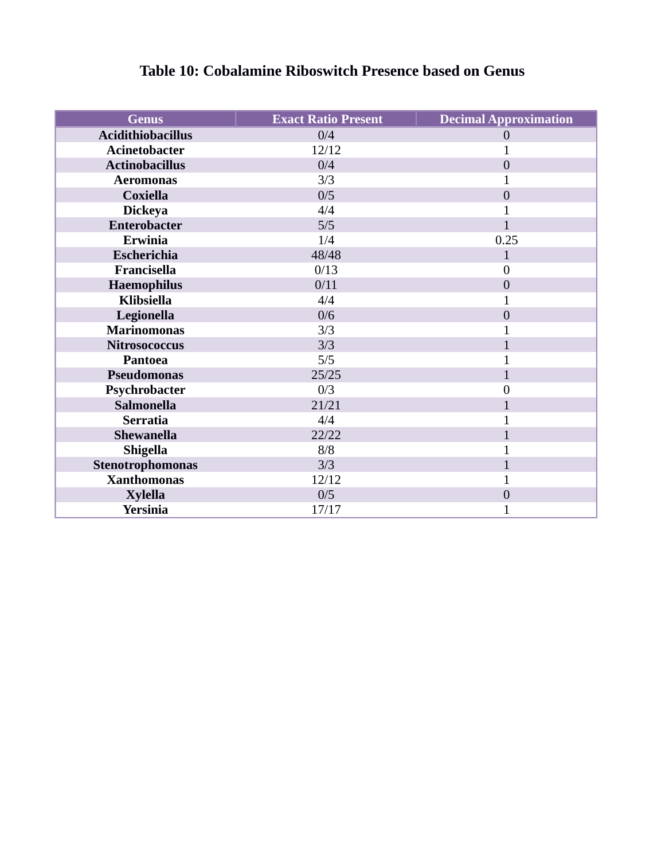| <b>Genus</b>             | <b>Exact Ratio Present</b> | <b>Decimal Approximation</b> |
|--------------------------|----------------------------|------------------------------|
| <b>Acidithiobacillus</b> | 0/4                        | $\theta$                     |
| <b>Acinetobacter</b>     | 12/12                      | $\mathbf 1$                  |
| <b>Actinobacillus</b>    | 0/4                        | $\overline{0}$               |
| <b>Aeromonas</b>         | 3/3                        | $\mathbf{1}$                 |
| <b>Coxiella</b>          | 0/5                        | $\mathbf{0}$                 |
| <b>Dickeya</b>           | 4/4                        | $\overline{1}$               |
| <b>Enterobacter</b>      | 5/5                        | $\mathbf{1}$                 |
| <b>Erwinia</b>           | 1/4                        | 0.25                         |
| Escherichia              | 48/48                      | 1                            |
| Francisella              | 0/13                       | $\overline{0}$               |
| <b>Haemophilus</b>       | 0/11                       | $\mathbf{0}$                 |
| <b>Klibsiella</b>        | 4/4                        | 1                            |
| Legionella               | 0/6                        | $\overline{0}$               |
| <b>Marinomonas</b>       | 3/3                        | $\overline{1}$               |
| <b>Nitrosococcus</b>     | 3/3                        | 1                            |
| <b>Pantoea</b>           | 5/5                        | 1                            |
| Pseudomonas              | 25/25                      | 1                            |
| Psychrobacter            | 0/3                        | $\mathbf{0}$                 |
| <b>Salmonella</b>        | 21/21                      | $\overline{1}$               |
| <b>Serratia</b>          | 4/4                        | $\overline{1}$               |
| <b>Shewanella</b>        | 22/22                      | $\overline{1}$               |
| <b>Shigella</b>          | 8/8                        | $\overline{1}$               |
| Stenotrophomonas         | 3/3                        | 1                            |
| <b>Xanthomonas</b>       | 12/12                      | $\mathbf{1}$                 |
| <b>Xylella</b>           | 0/5                        | $\mathbf{0}$                 |
| <b>Yersinia</b>          | 17/17                      | 1                            |

### **Table 10: Cobalamine Riboswitch Presence based on Genus**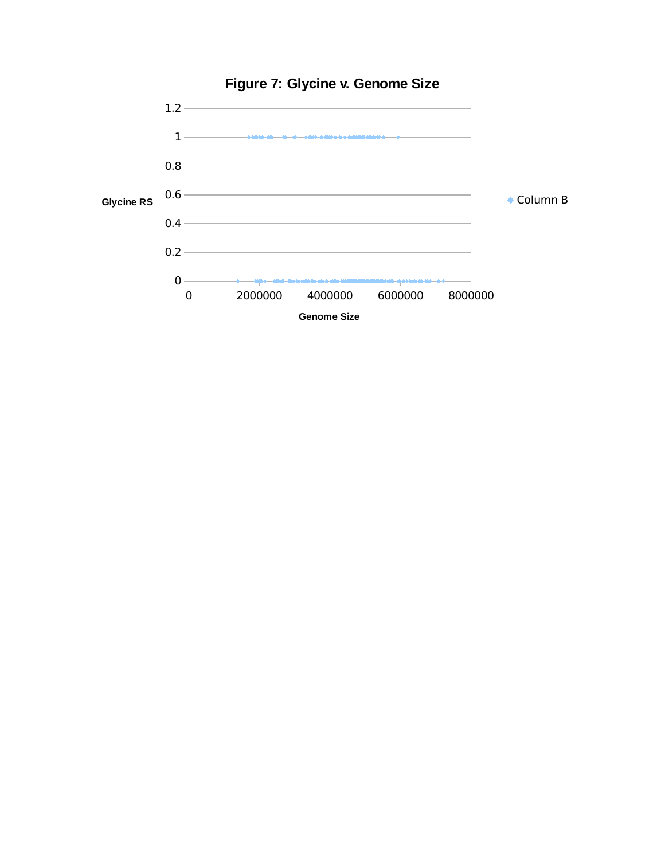

## **Figure 7: Glycine v. Genome Size**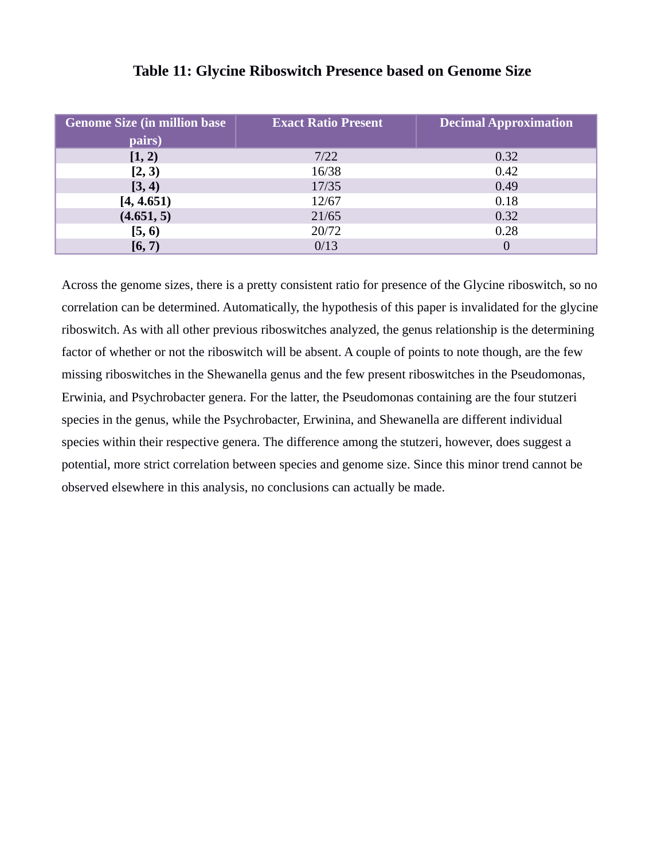| <b>Genome Size (in million base)</b><br>pairs) | <b>Exact Ratio Present</b> | <b>Decimal Approximation</b> |
|------------------------------------------------|----------------------------|------------------------------|
|                                                |                            |                              |
| [1, 2)                                         | 7/22                       | 0.32                         |
| [2, 3)                                         | 16/38                      | 0.42                         |
| [3, 4)                                         | 17/35                      | 0.49                         |
| [4, 4.651]                                     | 12/67                      | 0.18                         |
| (4.651, 5)                                     | 21/65                      | 0.32                         |
| [5, 6)                                         | 20/72                      | 0.28                         |
| [6, 7)                                         | 0/13                       | 0                            |

### **Table 11: Glycine Riboswitch Presence based on Genome Size**

Across the genome sizes, there is a pretty consistent ratio for presence of the Glycine riboswitch, so no correlation can be determined. Automatically, the hypothesis of this paper is invalidated for the glycine riboswitch. As with all other previous riboswitches analyzed, the genus relationship is the determining factor of whether or not the riboswitch will be absent. A couple of points to note though, are the few missing riboswitches in the Shewanella genus and the few present riboswitches in the Pseudomonas, Erwinia, and Psychrobacter genera. For the latter, the Pseudomonas containing are the four stutzeri species in the genus, while the Psychrobacter, Erwinina, and Shewanella are different individual species within their respective genera. The difference among the stutzeri, however, does suggest a potential, more strict correlation between species and genome size. Since this minor trend cannot be observed elsewhere in this analysis, no conclusions can actually be made.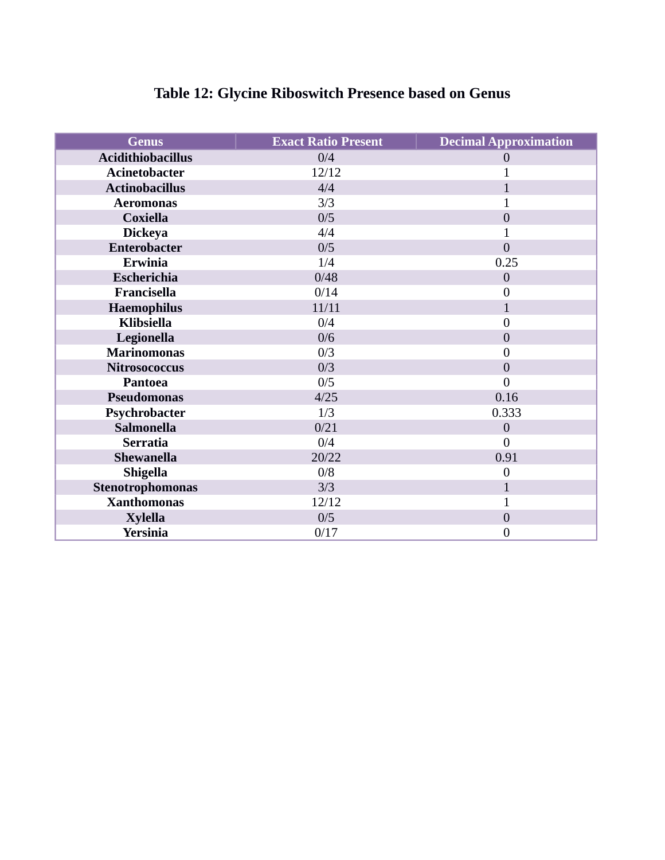| <b>Genus</b>             | <b>Exact Ratio Present</b> | <b>Decimal Approximation</b> |
|--------------------------|----------------------------|------------------------------|
| <b>Acidithiobacillus</b> | 0/4                        | $\theta$                     |
| <b>Acinetobacter</b>     | 12/12                      | $\overline{1}$               |
| <b>Actinobacillus</b>    | 4/4                        | $\mathbf{1}$                 |
| <b>Aeromonas</b>         | 3/3                        | 1                            |
| <b>Coxiella</b>          | 0/5                        | $\overline{0}$               |
| <b>Dickeya</b>           | 4/4                        | $\overline{1}$               |
| <b>Enterobacter</b>      | 0/5                        | $\overline{0}$               |
| <b>Erwinia</b>           | 1/4                        | 0.25                         |
| Escherichia              | 0/48                       | $\mathbf{0}$                 |
| Francisella              | 0/14                       | $\mathbf{0}$                 |
| <b>Haemophilus</b>       | 11/11                      | $\mathbf{1}$                 |
| <b>Klibsiella</b>        | 0/4                        | $\overline{0}$               |
| Legionella               | 0/6                        | $\mathbf{0}$                 |
| <b>Marinomonas</b>       | 0/3                        | $\overline{0}$               |
| <b>Nitrosococcus</b>     | 0/3                        | $\overline{0}$               |
| <b>Pantoea</b>           | 0/5                        | $\overline{0}$               |
| Pseudomonas              | 4/25                       | 0.16                         |
| Psychrobacter            | 1/3                        | 0.333                        |
| <b>Salmonella</b>        | 0/21                       | $\overline{0}$               |
| <b>Serratia</b>          | 0/4                        | $\theta$                     |
| <b>Shewanella</b>        | 20/22                      | 0.91                         |
| <b>Shigella</b>          | 0/8                        | $\overline{0}$               |
| Stenotrophomonas         | 3/3                        | $\mathbf{1}$                 |
| <b>Xanthomonas</b>       | 12/12                      | $\mathbf{1}$                 |
| <b>Xylella</b>           | 0/5                        | $\mathbf{0}$                 |
| <b>Yersinia</b>          | 0/17                       | $\boldsymbol{0}$             |

## **Table 12: Glycine Riboswitch Presence based on Genus**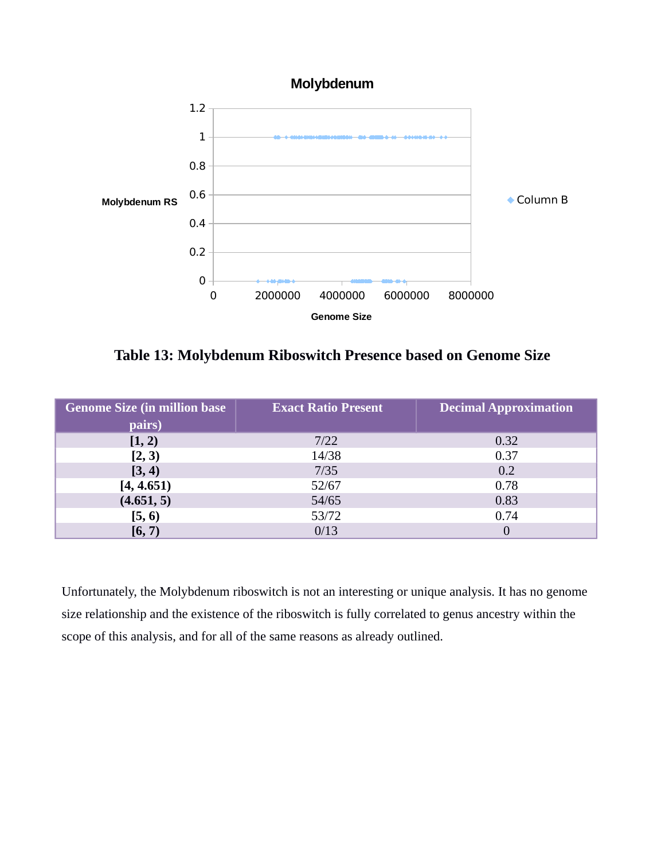

**Table 13: Molybdenum Riboswitch Presence based on Genome Size**

| <b>Genome Size (in million base)</b> | <b>Exact Ratio Present</b> | <b>Decimal Approximation</b> |
|--------------------------------------|----------------------------|------------------------------|
| pairs)                               |                            |                              |
| [1, 2)                               | 7/22                       | 0.32                         |
| [2, 3)                               | 14/38                      | 0.37                         |
| [3, 4)                               | 7/35                       | 0.2                          |
| [4, 4.651]                           | 52/67                      | 0.78                         |
| (4.651, 5)                           | 54/65                      | 0.83                         |
| [5, 6)                               | 53/72                      | 0.74                         |
| [6, 7)                               | 0/13                       |                              |

Unfortunately, the Molybdenum riboswitch is not an interesting or unique analysis. It has no genome size relationship and the existence of the riboswitch is fully correlated to genus ancestry within the scope of this analysis, and for all of the same reasons as already outlined.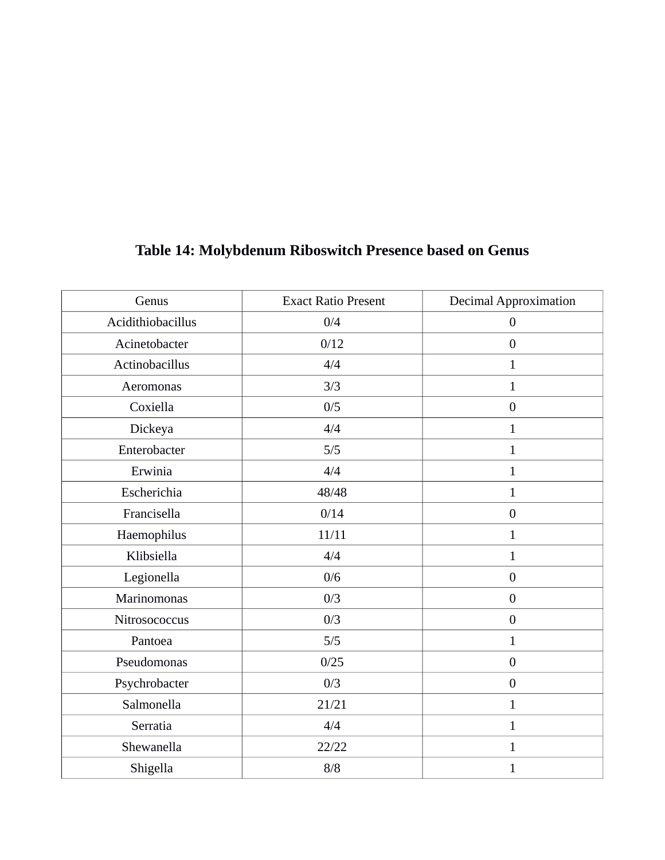| Genus             | <b>Exact Ratio Present</b> | <b>Decimal Approximation</b> |
|-------------------|----------------------------|------------------------------|
| Acidithiobacillus | 0/4                        | $\boldsymbol{0}$             |
| Acinetobacter     | 0/12                       | $\boldsymbol{0}$             |
| Actinobacillus    | 4/4                        | $\mathbf{1}$                 |
| Aeromonas         | 3/3                        | $\overline{1}$               |
| Coxiella          | 0/5                        | $\boldsymbol{0}$             |
| Dickeya           | 4/4                        | $\mathbf{1}$                 |
| Enterobacter      | 5/5                        | $\mathbf{1}$                 |
| Erwinia           | 4/4                        | $\mathbf{1}$                 |
| Escherichia       | 48/48                      | $\mathbf{1}$                 |
| Francisella       | 0/14                       | $\boldsymbol{0}$             |
| Haemophilus       | 11/11                      | $\mathbf{1}$                 |
| Klibsiella        | 4/4                        | $\mathbf{1}$                 |
| Legionella        | 0/6                        | $\boldsymbol{0}$             |
| Marinomonas       | 0/3                        | $\boldsymbol{0}$             |
| Nitrosococcus     | 0/3                        | $\boldsymbol{0}$             |
| Pantoea           | 5/5                        | $\mathbf{1}$                 |
| Pseudomonas       | 0/25                       | $\boldsymbol{0}$             |
| Psychrobacter     | 0/3                        | $\boldsymbol{0}$             |
| Salmonella        | 21/21                      | $\mathbf{1}$                 |
| Serratia          | 4/4                        | $\mathbf{1}$                 |
| Shewanella        | 22/22                      | $\mathbf{1}$                 |
| Shigella          | $8/8$                      | $\mathbf{1}$                 |

## **Table 14: Molybdenum Riboswitch Presence based on Genus**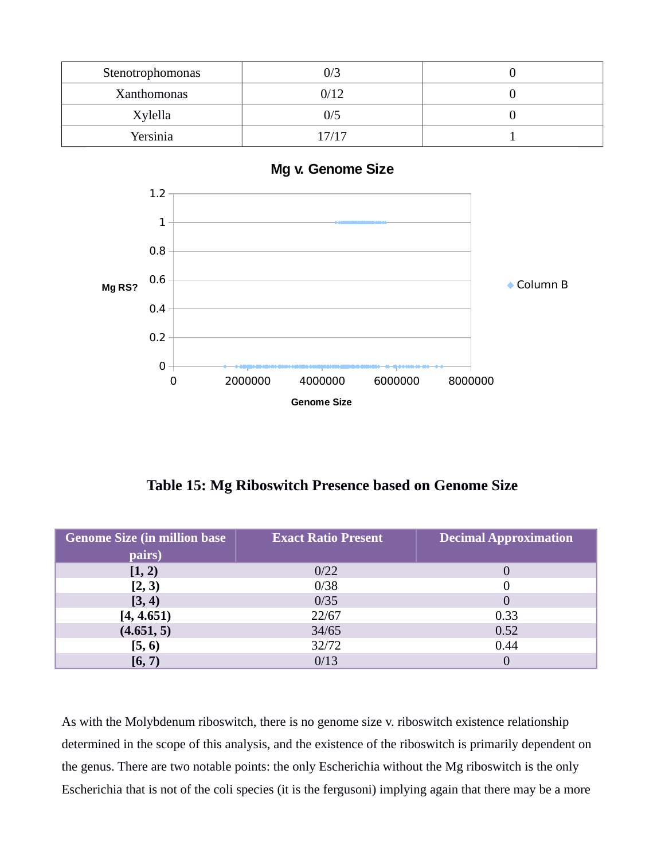| Stenotrophomonas |       |  |
|------------------|-------|--|
| Xanthomonas      | 0/12  |  |
| Xylella          | 0/5   |  |
| Yersinia         | 17/17 |  |



**Table 15: Mg Riboswitch Presence based on Genome Size**

| <b>Genome Size (in million base)</b> | <b>Exact Ratio Present</b> | <b>Decimal Approximation</b> |
|--------------------------------------|----------------------------|------------------------------|
| pairs)                               |                            |                              |
| [1, 2)                               | 0/22                       |                              |
| [2, 3)                               | 0/38                       | 0                            |
| [3, 4)                               | 0/35                       | 0                            |
| [4, 4.651]                           | 22/67                      | 0.33                         |
| (4.651, 5)                           | 34/65                      | 0.52                         |
| [5, 6)                               | 32/72                      | 0.44                         |
| [6, 7)                               | 0/13                       |                              |

As with the Molybdenum riboswitch, there is no genome size v. riboswitch existence relationship determined in the scope of this analysis, and the existence of the riboswitch is primarily dependent on the genus. There are two notable points: the only Escherichia without the Mg riboswitch is the only Escherichia that is not of the coli species (it is the fergusoni) implying again that there may be a more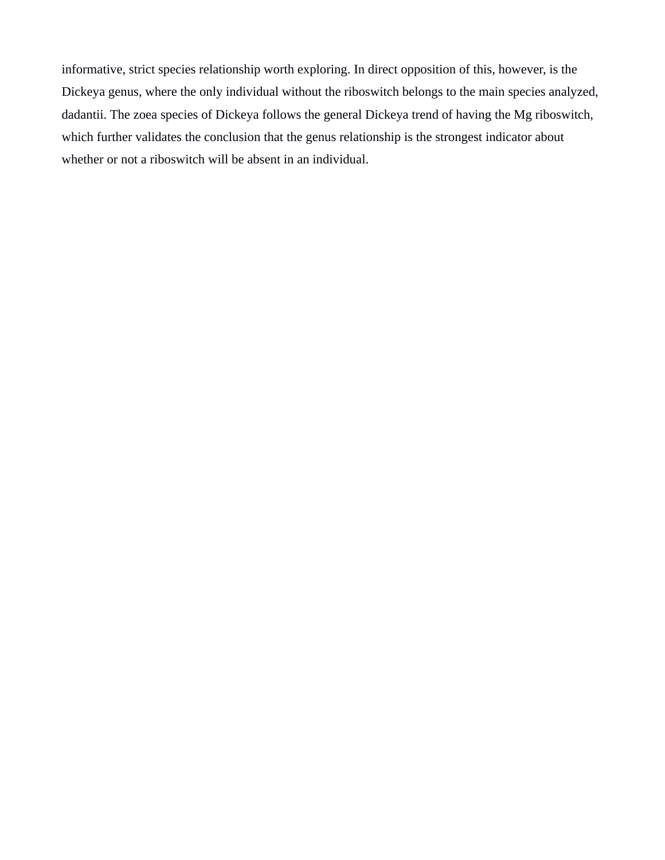informative, strict species relationship worth exploring. In direct opposition of this, however, is the Dickeya genus, where the only individual without the riboswitch belongs to the main species analyzed, dadantii. The zoea species of Dickeya follows the general Dickeya trend of having the Mg riboswitch, which further validates the conclusion that the genus relationship is the strongest indicator about whether or not a riboswitch will be absent in an individual.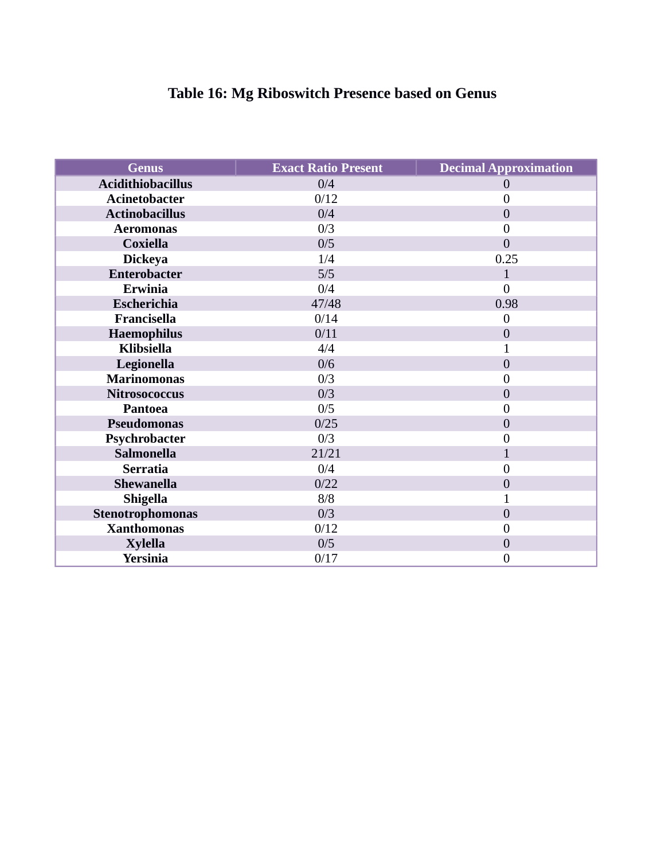## **Table 16: Mg Riboswitch Presence based on Genus**

| <b>Genus</b>             | <b>Exact Ratio Present</b> | <b>Decimal Approximation</b> |
|--------------------------|----------------------------|------------------------------|
| <b>Acidithiobacillus</b> | 0/4                        | 0                            |
| <b>Acinetobacter</b>     | 0/12                       | $\overline{0}$               |
| <b>Actinobacillus</b>    | 0/4                        | $\overline{0}$               |
| <b>Aeromonas</b>         | 0/3                        | 0                            |
| <b>Coxiella</b>          | 0/5                        | 0                            |
| <b>Dickeya</b>           | 1/4                        | 0.25                         |
| <b>Enterobacter</b>      | 5/5                        | $\mathbf{1}$                 |
| <b>Erwinia</b>           | 0/4                        | 0                            |
| Escherichia              | 47/48                      | 0.98                         |
| Francisella              | 0/14                       | $\overline{0}$               |
| Haemophilus              | 0/11                       | $\overline{0}$               |
| <b>Klibsiella</b>        | 4/4                        | 1                            |
| Legionella               | 0/6                        | $\overline{0}$               |
| <b>Marinomonas</b>       | 0/3                        | 0                            |
| <b>Nitrosococcus</b>     | 0/3                        | 0                            |
| <b>Pantoea</b>           | 0/5                        | 0                            |
| Pseudomonas              | 0/25                       | $\overline{0}$               |
| Psychrobacter            | 0/3                        | 0                            |
| <b>Salmonella</b>        | 21/21                      | $\overline{1}$               |
| <b>Serratia</b>          | 0/4                        | $\overline{0}$               |
| Shewanella               | 0/22                       | $\overline{0}$               |
| <b>Shigella</b>          | 8/8                        | 1                            |
| Stenotrophomonas         | 0/3                        | $\boldsymbol{0}$             |
| <b>Xanthomonas</b>       | 0/12                       | 0                            |
| <b>Xylella</b>           | 0/5                        | $\boldsymbol{0}$             |
| <b>Yersinia</b>          | 0/17                       | 0                            |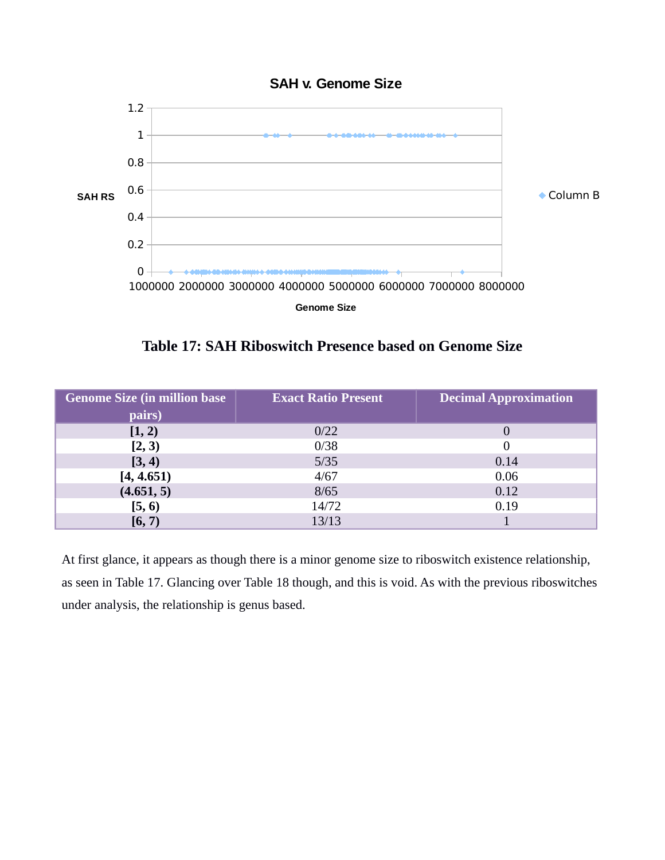



**Table 17: SAH Riboswitch Presence based on Genome Size**

| <b>Genome Size (in million base)</b> | <b>Exact Ratio Present</b> | <b>Decimal Approximation</b> |
|--------------------------------------|----------------------------|------------------------------|
| pairs)                               |                            |                              |
| [1, 2)                               | 0/22                       | O                            |
| [2, 3)                               | 0/38                       | 0                            |
| [3, 4)                               | 5/35                       | 0.14                         |
| [4, 4.651]                           | 4/67                       | 0.06                         |
| (4.651, 5)                           | 8/65                       | 0.12                         |
| [5, 6)                               | 14/72                      | 0.19                         |
| [6, 7)                               | 13/13                      |                              |

At first glance, it appears as though there is a minor genome size to riboswitch existence relationship, as seen in Table 17. Glancing over Table 18 though, and this is void. As with the previous riboswitches under analysis, the relationship is genus based.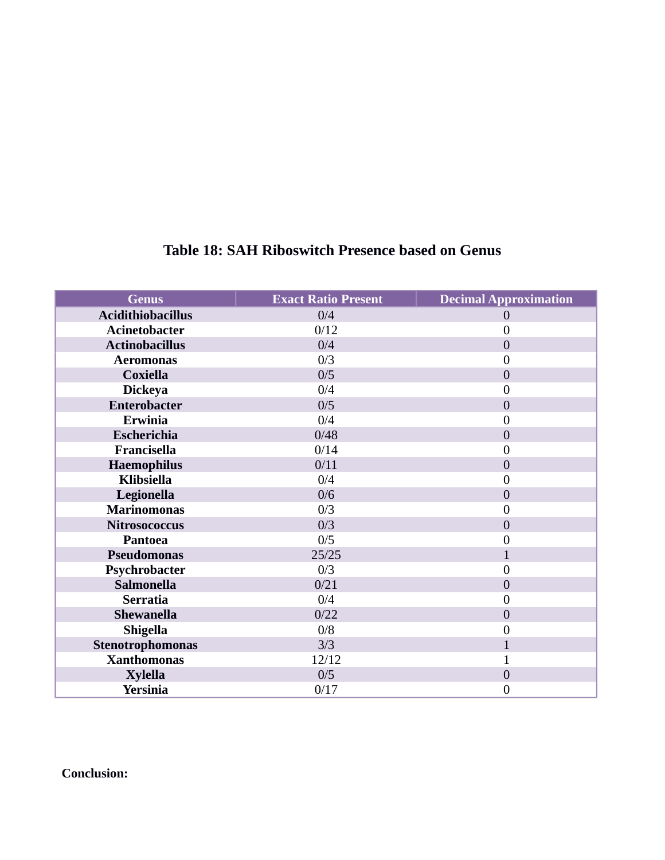| <b>Genus</b>             | <b>Exact Ratio Present</b> | <b>Decimal Approximation</b> |
|--------------------------|----------------------------|------------------------------|
| <b>Acidithiobacillus</b> | 0/4                        | 0                            |
| <b>Acinetobacter</b>     | 0/12                       | $\overline{0}$               |
| <b>Actinobacillus</b>    | 0/4                        | $\overline{0}$               |
| <b>Aeromonas</b>         | 0/3                        | 0                            |
| <b>Coxiella</b>          | 0/5                        | $\overline{0}$               |
| <b>Dickeya</b>           | 0/4                        | $\overline{0}$               |
| Enterobacter             | 0/5                        | $\overline{0}$               |
| <b>Erwinia</b>           | 0/4                        | 0                            |
| Escherichia              | 0/48                       | $\overline{0}$               |
| Francisella              | 0/14                       | $\overline{0}$               |
| <b>Haemophilus</b>       | 0/11                       | $\overline{0}$               |
| <b>Klibsiella</b>        | 0/4                        | 0                            |
| Legionella               | 0/6                        | $\overline{0}$               |
| <b>Marinomonas</b>       | 0/3                        | $\boldsymbol{0}$             |
| <b>Nitrosococcus</b>     | 0/3                        | $\overline{0}$               |
| <b>Pantoea</b>           | 0/5                        | 0                            |
| <b>Pseudomonas</b>       | 25/25                      | $\overline{1}$               |
| Psychrobacter            | 0/3                        | 0                            |
| <b>Salmonella</b>        | 0/21                       | $\overline{0}$               |
| <b>Serratia</b>          | 0/4                        | 0                            |
| <b>Shewanella</b>        | 0/22                       | $\overline{0}$               |
| <b>Shigella</b>          | 0/8                        | $\overline{0}$               |
| Stenotrophomonas         | 3/3                        | $\mathbf{1}$                 |
| <b>Xanthomonas</b>       | 12/12                      | $\overline{1}$               |
| <b>Xylella</b>           | 0/5                        | $\overline{0}$               |
| <b>Yersinia</b>          | 0/17                       | $\boldsymbol{0}$             |

### **Table 18: SAH Riboswitch Presence based on Genus**

**Conclusion:**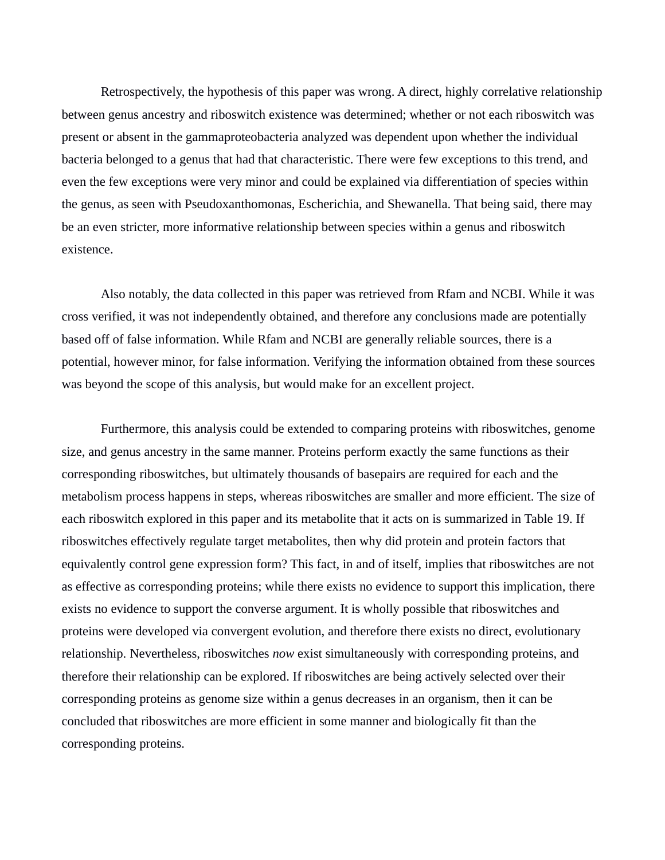Retrospectively, the hypothesis of this paper was wrong. A direct, highly correlative relationship between genus ancestry and riboswitch existence was determined; whether or not each riboswitch was present or absent in the gammaproteobacteria analyzed was dependent upon whether the individual bacteria belonged to a genus that had that characteristic. There were few exceptions to this trend, and even the few exceptions were very minor and could be explained via differentiation of species within the genus, as seen with Pseudoxanthomonas, Escherichia, and Shewanella. That being said, there may be an even stricter, more informative relationship between species within a genus and riboswitch existence.

Also notably, the data collected in this paper was retrieved from Rfam and NCBI. While it was cross verified, it was not independently obtained, and therefore any conclusions made are potentially based off of false information. While Rfam and NCBI are generally reliable sources, there is a potential, however minor, for false information. Verifying the information obtained from these sources was beyond the scope of this analysis, but would make for an excellent project.

Furthermore, this analysis could be extended to comparing proteins with riboswitches, genome size, and genus ancestry in the same manner. Proteins perform exactly the same functions as their corresponding riboswitches, but ultimately thousands of basepairs are required for each and the metabolism process happens in steps, whereas riboswitches are smaller and more efficient. The size of each riboswitch explored in this paper and its metabolite that it acts on is summarized in Table 19. If riboswitches effectively regulate target metabolites, then why did protein and protein factors that equivalently control gene expression form? This fact, in and of itself, implies that riboswitches are not as effective as corresponding proteins; while there exists no evidence to support this implication, there exists no evidence to support the converse argument. It is wholly possible that riboswitches and proteins were developed via convergent evolution, and therefore there exists no direct, evolutionary relationship. Nevertheless, riboswitches *now* exist simultaneously with corresponding proteins, and therefore their relationship can be explored. If riboswitches are being actively selected over their corresponding proteins as genome size within a genus decreases in an organism, then it can be concluded that riboswitches are more efficient in some manner and biologically fit than the corresponding proteins.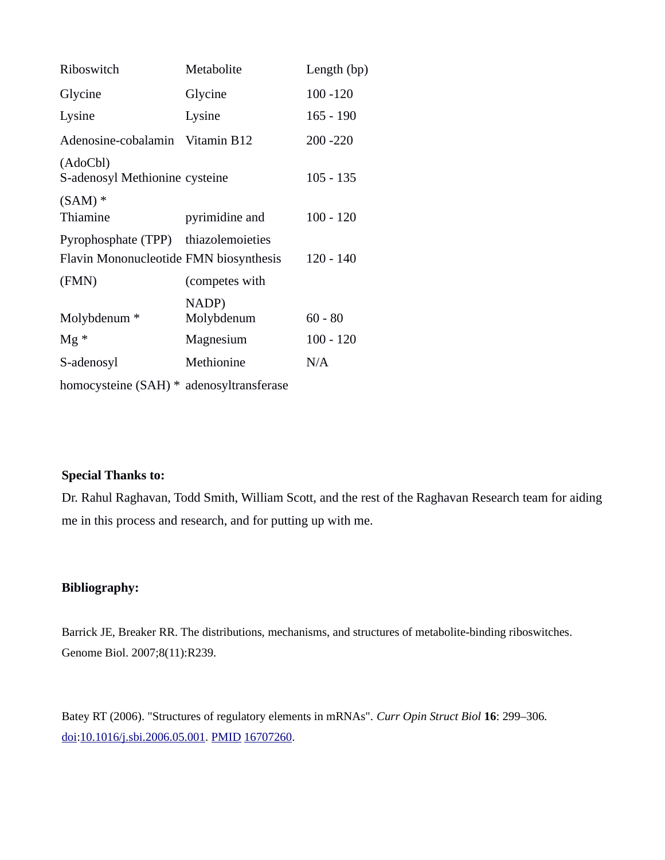| Riboswitch                                 | Metabolite          | Length (bp) |
|--------------------------------------------|---------------------|-------------|
| Glycine                                    | Glycine             | $100 - 120$ |
| Lysine                                     | Lysine              | $165 - 190$ |
| Adenosine-cobalamin Vitamin B12            |                     | 200 - 220   |
| (AdoCbl)<br>S-adenosyl Methionine cysteine |                     | $105 - 135$ |
| $(SAM)*$<br>Thiamine                       | pyrimidine and      | $100 - 120$ |
| Pyrophosphate (TPP) thiazolemoieties       |                     |             |
| Flavin Mononucleotide FMN biosynthesis     |                     | $120 - 140$ |
| (FMN)                                      | (competes with      |             |
| Molybdenum *                               | NADP)<br>Molybdenum | $60 - 80$   |
| $Mg^*$                                     | Magnesium           | $100 - 120$ |
| S-adenosyl                                 | Methionine          | N/A         |
| homocysteine (SAH) * adenosyltransferase   |                     |             |

### **Special Thanks to:**

Dr. Rahul Raghavan, Todd Smith, William Scott, and the rest of the Raghavan Research team for aiding me in this process and research, and for putting up with me.

### **Bibliography:**

Barrick JE, Breaker RR. The distributions, mechanisms, and structures of metabolite-binding riboswitches. Genome Biol. 2007;8(11):R239.

Batey RT (2006). "Structures of regulatory elements in mRNAs". *Curr Opin Struct Biol* **16**: 299–306. [doi:](http://en.wikipedia.org/wiki/Digital_object_identifier)[10.1016/j.sbi.2006.05.001.](http://dx.doi.org/10.1016%2Fj.sbi.2006.05.001) [PMID](http://en.wikipedia.org/wiki/PubMed_Identifier) [16707260.](http://www.ncbi.nlm.nih.gov/pubmed/16707260)